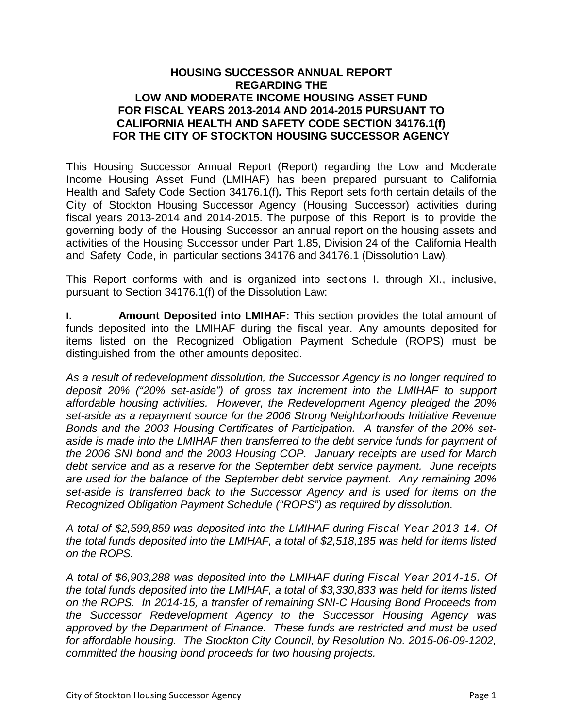## **HOUSING SUCCESSOR ANNUAL REPORT REGARDING THE LOW AND MODERATE INCOME HOUSING ASSET FUND FOR FISCAL YEARS 2013-2014 AND 2014-2015 PURSUANT TO CALIFORNIA HEALTH AND SAFETY CODE SECTION 34176.1(f) FOR THE CITY OF STOCKTON HOUSING SUCCESSOR AGENCY**

This Housing Successor Annual Report (Report) regarding the Low and Moderate Income Housing Asset Fund (LMIHAF) has been prepared pursuant to California Health and Safety Code Section 34176.1(f)*.* This Report sets forth certain details of the City of Stockton Housing Successor Agency (Housing Successor) activities during fiscal years 2013-2014 and 2014-2015. The purpose of this Report is to provide the governing body of the Housing Successor an annual report on the housing assets and activities of the Housing Successor under Part 1.85, Division 24 of the California Health and Safety Code, in particular sections 34176 and 34176.1 (Dissolution Law).

This Report conforms with and is organized into sections I. through XI., inclusive, pursuant to Section 34176.1(f) of the Dissolution Law:

**I. Amount Deposited into LMIHAF:** This section provides the total amount of funds deposited into the LMIHAF during the fiscal year. Any amounts deposited for items listed on the Recognized Obligation Payment Schedule (ROPS) must be distinguished from the other amounts deposited.

*As a result of redevelopment dissolution, the Successor Agency is no longer required to deposit 20% ("20% set-aside") of gross tax increment into the LMIHAF to support affordable housing activities. However, the Redevelopment Agency pledged the 20% set-aside as a repayment source for the 2006 Strong Neighborhoods Initiative Revenue Bonds and the 2003 Housing Certificates of Participation. A transfer of the 20% setaside is made into the LMIHAF then transferred to the debt service funds for payment of the 2006 SNI bond and the 2003 Housing COP. January receipts are used for March debt service and as a reserve for the September debt service payment. June receipts are used for the balance of the September debt service payment. Any remaining 20% set-aside is transferred back to the Successor Agency and is used for items on the Recognized Obligation Payment Schedule ("ROPS") as required by dissolution.* 

*A total of \$2,599,859 was deposited into the LMIHAF during Fiscal Year 2013-14. Of the total funds deposited into the LMIHAF, a total of \$2,518,185 was held for items listed on the ROPS.* 

*A total of \$6,903,288 was deposited into the LMIHAF during Fiscal Year 2014-15. Of the total funds deposited into the LMIHAF, a total of \$3,330,833 was held for items listed on the ROPS. In 2014-15, a transfer of remaining SNI-C Housing Bond Proceeds from the Successor Redevelopment Agency to the Successor Housing Agency was approved by the Department of Finance. These funds are restricted and must be used for affordable housing. The Stockton City Council, by Resolution No. 2015-06-09-1202, committed the housing bond proceeds for two housing projects.*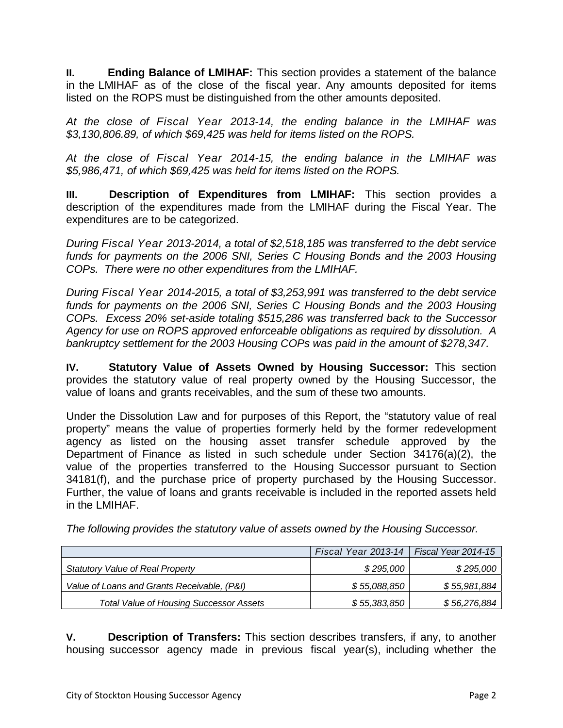**II. Ending Balance of LMIHAF:** This section provides a statement of the balance in the LMIHAF as of the close of the fiscal year. Any amounts deposited for items listed on the ROPS must be distinguished from the other amounts deposited.

*At the close of Fiscal Year 2013-14, the ending balance in the LMIHAF was \$3,130,806.89, of which \$69,425 was held for items listed on the ROPS.* 

*At the close of Fiscal Year 2014-15, the ending balance in the LMIHAF was \$5,986,471, of which \$69,425 was held for items listed on the ROPS.* 

**III. Description of Expenditures from LMIHAF:** This section provides a description of the expenditures made from the LMIHAF during the Fiscal Year. The expenditures are to be categorized.

*During Fiscal Year 2013-2014, a total of \$2,518,185 was transferred to the debt service funds for payments on the 2006 SNI, Series C Housing Bonds and the 2003 Housing COPs. There were no other expenditures from the LMIHAF.* 

*During Fiscal Year 2014-2015, a total of \$3,253,991 was transferred to the debt service funds for payments on the 2006 SNI, Series C Housing Bonds and the 2003 Housing COPs. Excess 20% set-aside totaling \$515,286 was transferred back to the Successor Agency for use on ROPS approved enforceable obligations as required by dissolution. A bankruptcy settlement for the 2003 Housing COPs was paid in the amount of \$278,347.* 

**IV. Statutory Value of Assets Owned by Housing Successor:** This section provides the statutory value of real property owned by the Housing Successor, the value of loans and grants receivables, and the sum of these two amounts.

Under the Dissolution Law and for purposes of this Report, the "statutory value of real property" means the value of properties formerly held by the former redevelopment agency as listed on the housing asset transfer schedule approved by the Department of Finance as listed in such schedule under Section 34176(a)(2), the value of the properties transferred to the Housing Successor pursuant to Section 34181(f), and the purchase price of property purchased by the Housing Successor. Further, the value of loans and grants receivable is included in the reported assets held in the LMIHAF.

*The following provides the statutory value of assets owned by the Housing Successor.* 

|                                                | Fiscal Year 2013-14 | Fiscal Year 2014-15 |
|------------------------------------------------|---------------------|---------------------|
| Statutory Value of Real Property               | \$295,000           | \$295,000           |
| Value of Loans and Grants Receivable, (P&I)    | \$55,088,850        | \$55,981,884        |
| <b>Total Value of Housing Successor Assets</b> | \$55,383,850        | \$56,276,884        |

**V. Description of Transfers:** This section describes transfers, if any, to another housing successor agency made in previous fiscal year(s), including whether the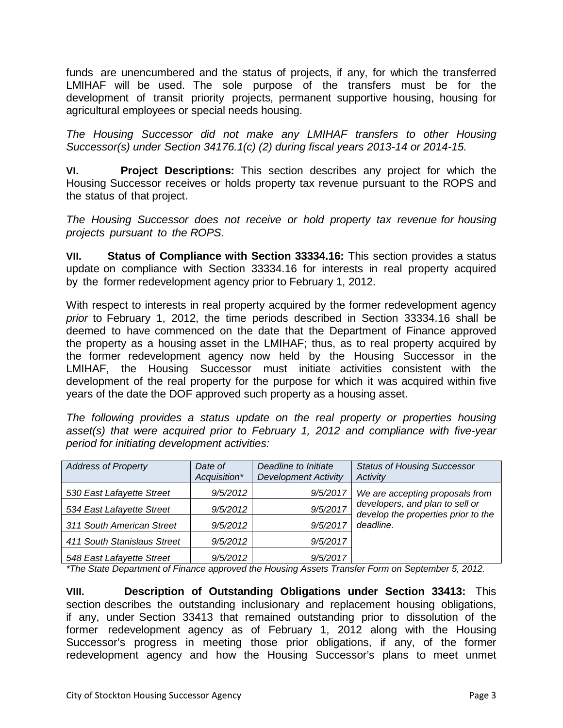funds are unencumbered and the status of projects, if any, for which the transferred LMIHAF will be used. The sole purpose of the transfers must be for the development of transit priority projects, permanent supportive housing, housing for agricultural employees or special needs housing.

*The Housing Successor did not make any LMIHAF transfers to other Housing Successor(s) under Section 34176.1(c) (2) during fiscal years 2013-14 or 2014-15.*

**VI. Project Descriptions:** This section describes any project for which the Housing Successor receives or holds property tax revenue pursuant to the ROPS and the status of that project.

*The Housing Successor does not receive or hold property tax revenue for housing projects pursuant to the ROPS.* 

**VII. Status of Compliance with Section 33334.16:** This section provides a status update on compliance with Section 33334.16 for interests in real property acquired by the former redevelopment agency prior to February 1, 2012.

With respect to interests in real property acquired by the former redevelopment agency *prior* to February 1, 2012, the time periods described in Section 33334.16 shall be deemed to have commenced on the date that the Department of Finance approved the property as a housing asset in the LMIHAF; thus, as to real property acquired by the former redevelopment agency now held by the Housing Successor in the LMIHAF, the Housing Successor must initiate activities consistent with the development of the real property for the purpose for which it was acquired within five years of the date the DOF approved such property as a housing asset.

*The following provides a status update on the real property or properties housing asset(s) that were acquired prior to February 1, 2012 and compliance with five-year period for initiating development activities:*

| <b>Address of Property</b>  | Date of<br>Acquisition* | Deadline to Initiate<br><b>Development Activity</b> | <b>Status of Housing Successor</b><br>Activity                         |
|-----------------------------|-------------------------|-----------------------------------------------------|------------------------------------------------------------------------|
| 530 East Lafayette Street   | 9/5/2012                | 9/5/2017                                            | We are accepting proposals from                                        |
| 534 East Lafayette Street   | 9/5/2012                | 9/5/2017                                            | developers, and plan to sell or<br>develop the properties prior to the |
| 311 South American Street   | 9/5/2012                | 9/5/2017                                            | deadline.                                                              |
| 411 South Stanislaus Street | 9/5/2012                | 9/5/2017                                            |                                                                        |
| 548 East Lafayette Street   | 9/5/2012                | 9/5/2017                                            |                                                                        |

*\*The State Department of Finance approved the Housing Assets Transfer Form on September 5, 2012.* 

**VIII. Description of Outstanding Obligations under Section 33413:** This section describes the outstanding inclusionary and replacement housing obligations, if any, under Section 33413 that remained outstanding prior to dissolution of the former redevelopment agency as of February 1, 2012 along with the Housing Successor's progress in meeting those prior obligations, if any, of the former redevelopment agency and how the Housing Successor's plans to meet unmet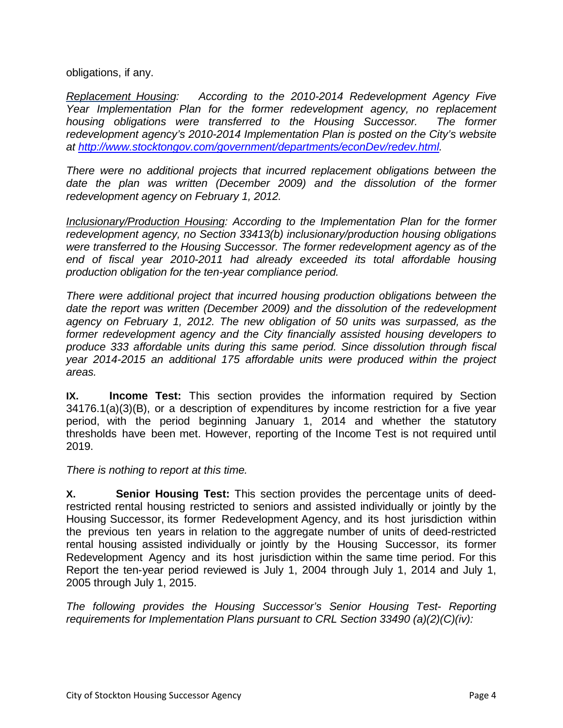obligations, if any.

*Replacement Housing: According to the 2010-2014 Redevelopment Agency Five*  Year Implementation Plan for the former redevelopment agency, no replacement *housing obligations were transferred to the Housing Successor. The former redevelopment agency's 2010-2014 Implementation Plan is posted on the City's website at http://www.stocktongov.com/government/departments/econDev/redev.html.* 

*There were no additional projects that incurred replacement obligations between the date the plan was written (December 2009) and the dissolution of the former redevelopment agency on February 1, 2012.* 

*Inclusionary/Production Housing: According to the Implementation Plan for the former redevelopment agency, no Section 33413(b) inclusionary/production housing obligations were transferred to the Housing Successor. The former redevelopment agency as of the end of fiscal year 2010-2011 had already exceeded its total affordable housing production obligation for the ten-year compliance period.* 

*There were additional project that incurred housing production obligations between the date the report was written (December 2009) and the dissolution of the redevelopment agency on February 1, 2012. The new obligation of 50 units was surpassed, as the former redevelopment agency and the City financially assisted housing developers to produce 333 affordable units during this same period. Since dissolution through fiscal year 2014-2015 an additional 175 affordable units were produced within the project areas.* 

**IX. Income Test:** This section provides the information required by Section 34176.1(a)(3)(B), or a description of expenditures by income restriction for a five year period, with the period beginning January 1, 2014 and whether the statutory thresholds have been met. However, reporting of the Income Test is not required until 2019.

*There is nothing to report at this time.*

**X. Senior Housing Test:** This section provides the percentage units of deedrestricted rental housing restricted to seniors and assisted individually or jointly by the Housing Successor, its former Redevelopment Agency, and its host jurisdiction within the previous ten years in relation to the aggregate number of units of deed-restricted rental housing assisted individually or jointly by the Housing Successor, its former Redevelopment Agency and its host jurisdiction within the same time period. For this Report the ten-year period reviewed is July 1, 2004 through July 1, 2014 and July 1, 2005 through July 1, 2015.

*The following provides the Housing Successor's Senior Housing Test- Reporting requirements for Implementation Plans pursuant to CRL Section 33490 (a)(2)(C)(iv):*